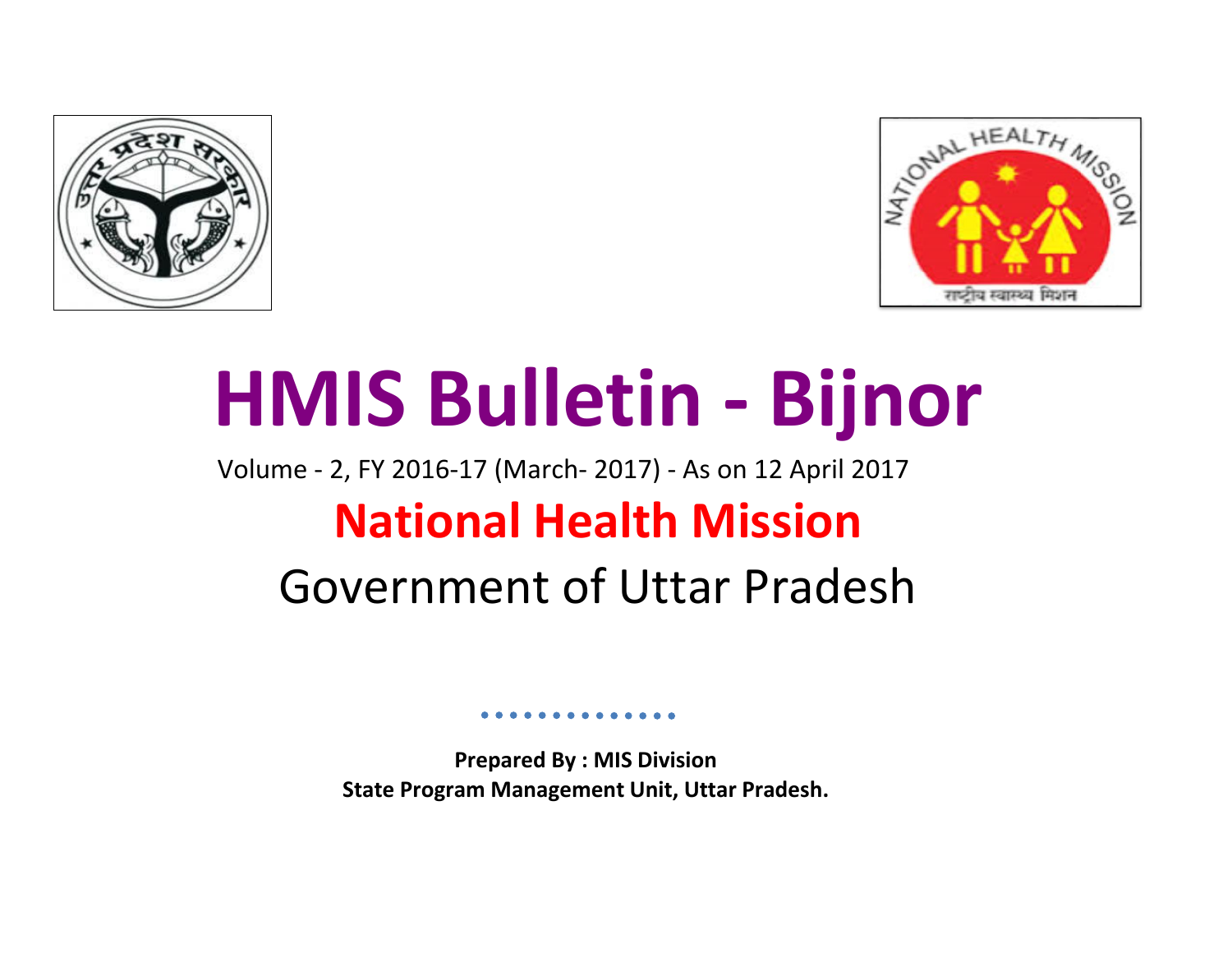



# **HMIS Bulletin - Bijnor**

# Volume - 2, FY 2016-17 (March- 2017) - As on 12 April 2017 **National Health Mission** Government of Uttar Pradesh

**Prepared By : MIS Division State Program Management Unit, Uttar Pradesh.**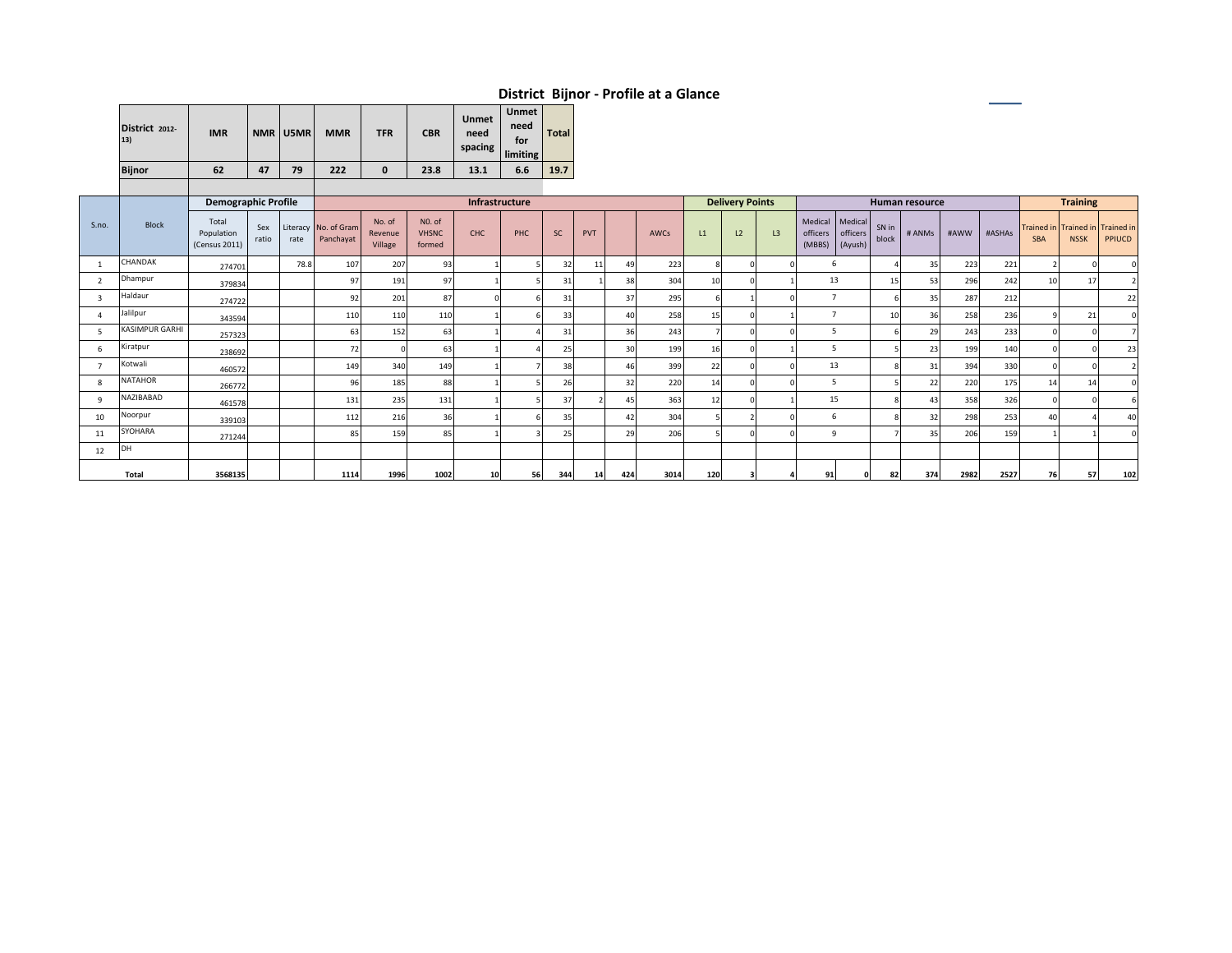| District 2012-<br>13) | <b>IMR</b> |    | NMR U5MR | <b>MMR</b> | <b>TFR</b> | <b>CBR</b> | Unmet<br>need<br>spacing | <b>Unmet</b><br>need<br>for<br>limiting | <b>Total</b> |
|-----------------------|------------|----|----------|------------|------------|------------|--------------------------|-----------------------------------------|--------------|
| <b>Bijnor</b>         | 62         | 47 | 79       | 222        | 0          | 23.8       | 13.1                     | 6.6                                     | 19.7         |
|                       |            |    |          |            |            |            |                          |                                         |              |

|       |                | <b>Demographic Profile</b>           |              |      |                                   |                              |                                  |            | Infrastructure |           |     |     |      |     | <b>Delivery Points</b> |    |                    |                                        |                | Human resource |      |        |            | <b>Training</b> |                                            |
|-------|----------------|--------------------------------------|--------------|------|-----------------------------------|------------------------------|----------------------------------|------------|----------------|-----------|-----|-----|------|-----|------------------------|----|--------------------|----------------------------------------|----------------|----------------|------|--------|------------|-----------------|--------------------------------------------|
| S.no. | <b>Block</b>   | Total<br>Population<br>(Census 2011) | Sex<br>ratio | rate | Literacy No. of Gram<br>Panchayat | No. of<br>Revenue<br>Village | NO. of<br><b>VHSNC</b><br>formed | <b>CHC</b> | PHC            | <b>SC</b> | PVT |     | AWCs | L1  | L <sub>2</sub>         | L3 | officers<br>(MBBS) | Medical Medical<br>officers<br>(Ayush) | SN in<br>block | # ANMs         | #AWW | #ASHAs | <b>SBA</b> | <b>NSSK</b>     | Trained in Trained in Trained in<br>PPIUCD |
|       | CHANDAK        | 274701                               |              | 78.8 | 107                               | 207                          | 93                               |            |                | 32        | 11  | 49  | 223  |     |                        |    |                    | 6                                      |                | 35             | 223  | 221    |            |                 |                                            |
|       | Dhampur        | 379834                               |              |      | 97                                | 191                          | 97                               |            |                | 31        |     | 38  | 304  |     |                        |    |                    | 13                                     | 15             | 53             | 296  | 242    |            | 17              |                                            |
| 3     | Haldaur        | 274722                               |              |      | 92                                | 201                          | 87                               |            |                | 31        |     | 37  | 295  |     |                        |    |                    |                                        |                | 35             | 287  | 212    |            |                 | 22                                         |
|       | Jalilpur       | 343594                               |              |      | 110                               | 110                          | 110                              |            |                | 33        |     | 40  | 258  | 15  |                        |    |                    |                                        | 10             | 36             | 258  | 236    |            | 21              |                                            |
|       | KASIMPUR GARHI | 257323                               |              |      | 63                                | 152                          | 63                               |            |                | 31        |     | 36  | 243  |     |                        |    |                    | 5                                      |                | 29             | 243  | 233    |            |                 |                                            |
| 6     | Kiratpur       | 238692                               |              |      | 72                                |                              | 63                               |            |                | 25        |     | 30  | 199  | 16  |                        |    |                    | 5                                      |                | 23             | 199  | 140    |            |                 | 23                                         |
|       | Kotwali        | 460572                               |              |      | 149                               | 340                          | 149                              |            |                | 38        |     | 46  | 399  | 22  |                        |    |                    | 13                                     |                | 31             | 394  | 330    |            |                 |                                            |
| 8     | NATAHOR        | 266772                               |              |      | 96                                | 185                          | 88                               |            |                | 26        |     | 32  | 220  | 14  |                        |    |                    | 5                                      |                | 22             | 220  | 175    | 14         | 14              |                                            |
| q     | NAZIBABAD      | 461578                               |              |      | 131                               | 235                          | 131                              |            |                | 37        |     | 45  | 363  | 12  |                        |    |                    | 15                                     |                | 43             | 358  | 326    |            |                 |                                            |
| 10    | Noorpur        | 339103                               |              |      | 112                               | 216                          | 36                               |            |                | 35        |     | 42  | 304  |     |                        |    |                    | 6                                      |                | 32             | 298  | 253    |            |                 | 40                                         |
| 11    | SYOHARA        | 271244                               |              |      | 85                                | 159                          | 85                               |            |                | 25        |     | 29  | 206  |     |                        |    |                    | $\mathbf{q}$                           |                | 35             | 206  | 159    |            |                 |                                            |
| 12    | DH             |                                      |              |      |                                   |                              |                                  |            |                |           |     |     |      |     |                        |    |                    |                                        |                |                |      |        |            |                 |                                            |
|       | Total          | 3568135                              |              |      | 1114                              | 1996                         | 1002                             | 10         | 56             | 344       | 14  | 424 | 3014 | 120 | з                      |    | 91                 |                                        | 82             | 374            | 2982 | 2527   | 76         | 57              | 102                                        |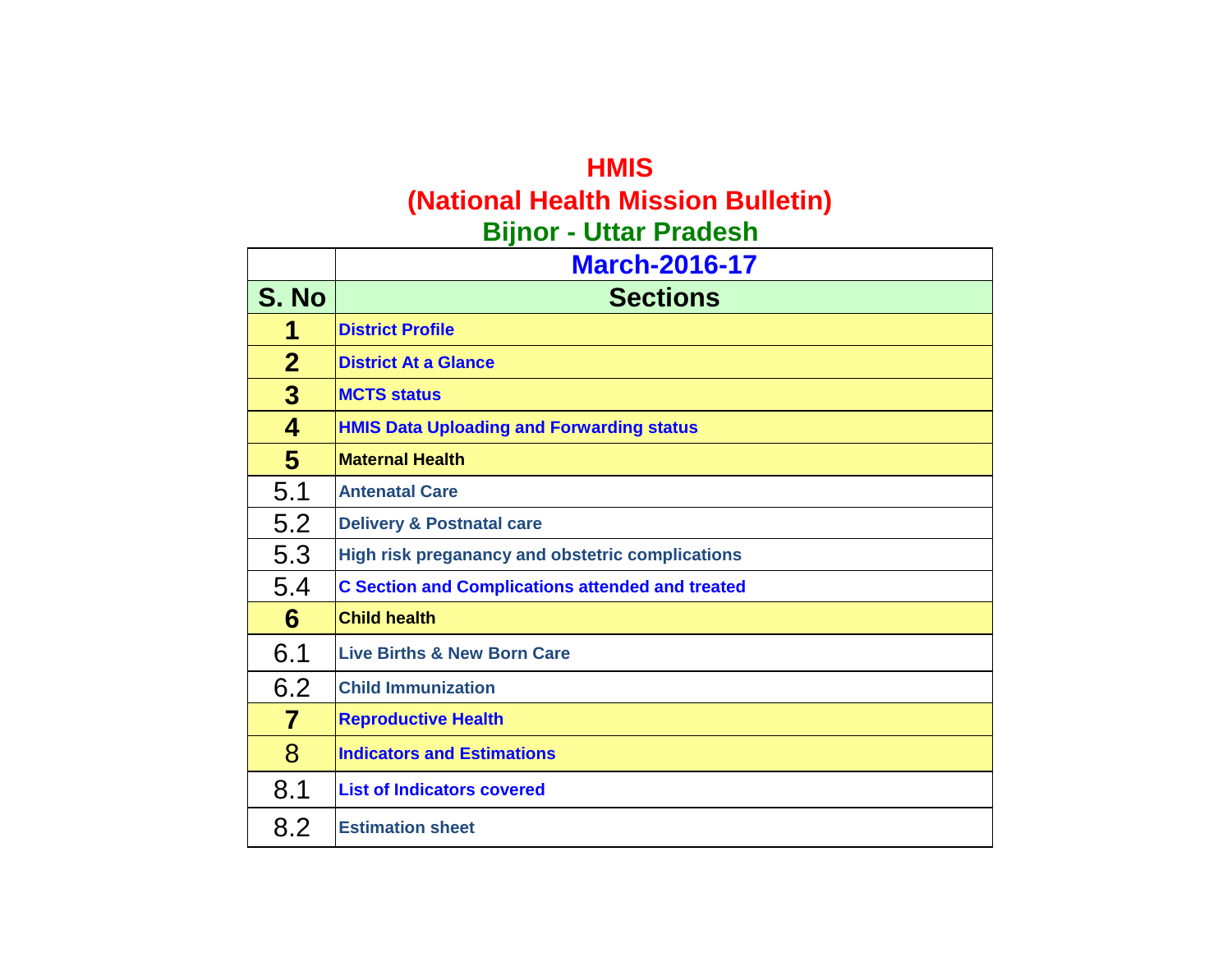### **HMIS (National Health Mission Bulletin) Bijnor - Uttar Pradesh**

|                | <b>March-2016-17</b>                                    |
|----------------|---------------------------------------------------------|
| S. No          | <b>Sections</b>                                         |
| 1              | <b>District Profile</b>                                 |
| $\mathbf{2}$   | <b>District At a Glance</b>                             |
| $\overline{3}$ | <b>MCTS status</b>                                      |
| 4              | <b>HMIS Data Uploading and Forwarding status</b>        |
| 5              | <b>Maternal Health</b>                                  |
| 5.1            | <b>Antenatal Care</b>                                   |
| 5.2            | <b>Delivery &amp; Postnatal care</b>                    |
| 5.3            | High risk preganancy and obstetric complications        |
| 5.4            | <b>C Section and Complications attended and treated</b> |
| 6              | <b>Child health</b>                                     |
| 6.1            | <b>Live Births &amp; New Born Care</b>                  |
| 6.2            | <b>Child Immunization</b>                               |
| 7              | <b>Reproductive Health</b>                              |
| 8              | <b>Indicators and Estimations</b>                       |
| 8.1            | <b>List of Indicators covered</b>                       |
| 8.2            | <b>Estimation sheet</b>                                 |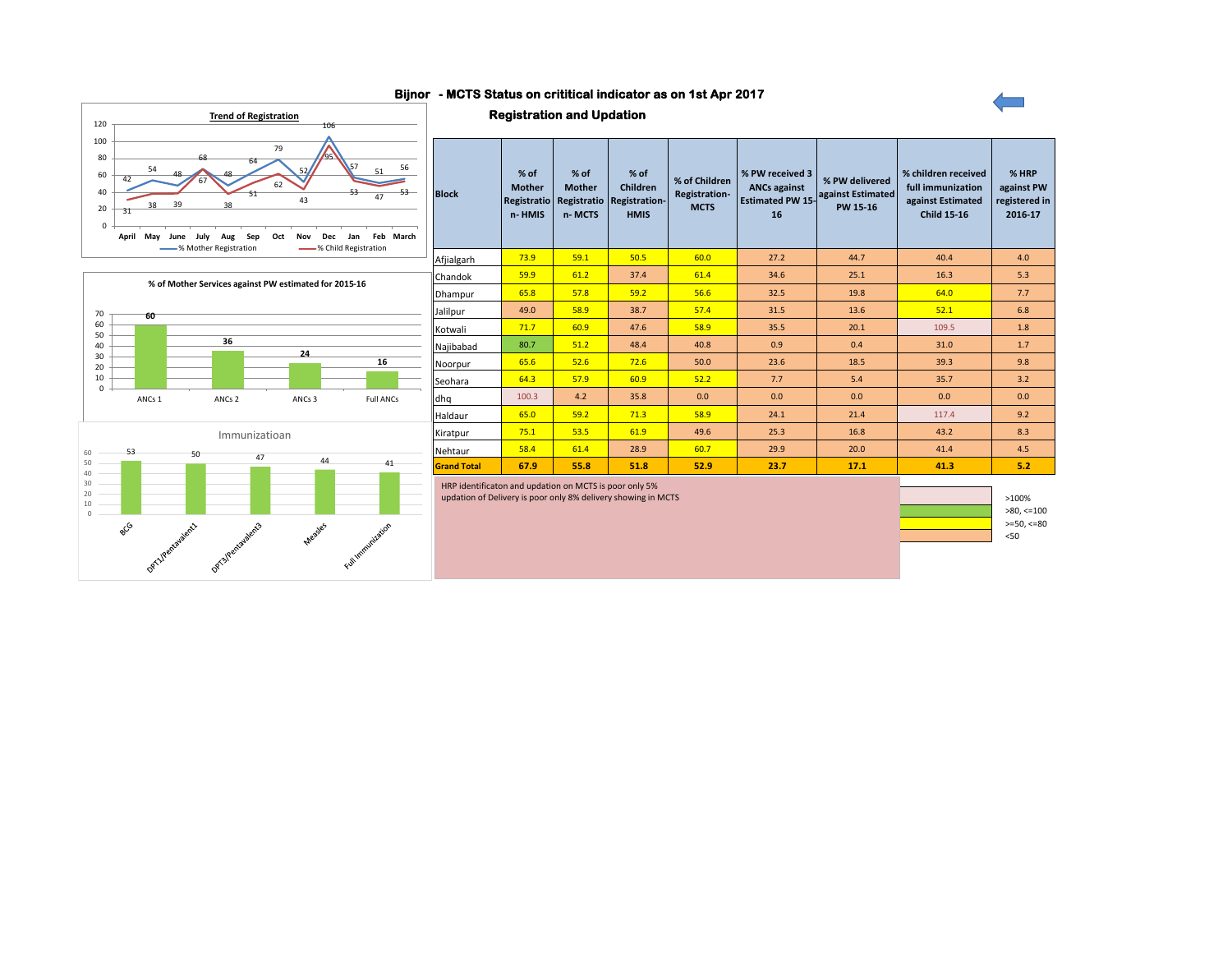#### **- MCTS Status on crititical indicator as on 1st Apr 2017 Bijnor**







HRP identificaton and updation on MCTS is poor only 5%

updation of Delivery is poor only 8% delivery showing in MCTS

 $>=50, <=80$ <50 >100% >80, <=100



**60**

70

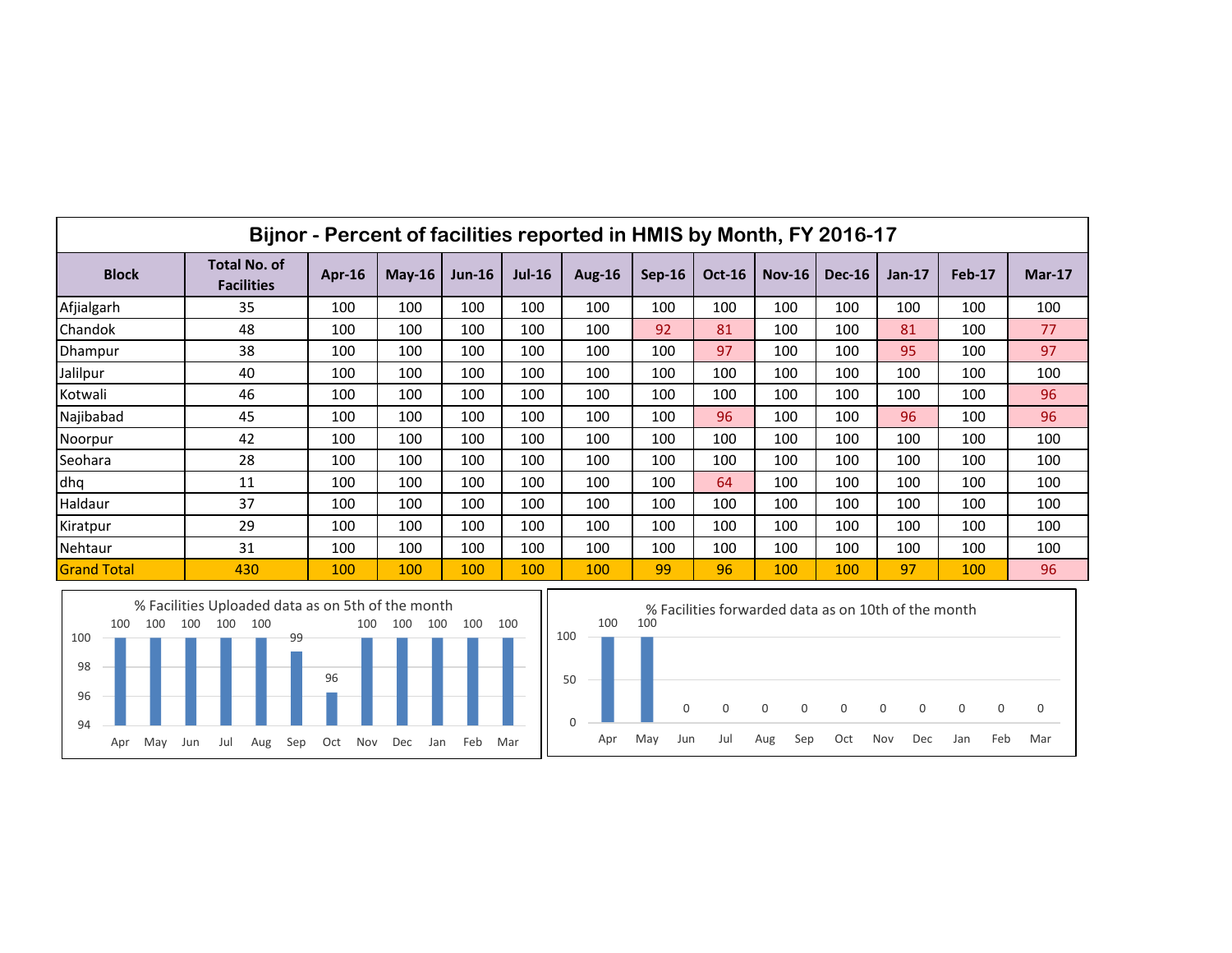|                    | Bijnor - Percent of facilities reported in HMIS by Month, FY 2016-17 |           |          |          |          |               |          |               |          |               |          |        |          |  |
|--------------------|----------------------------------------------------------------------|-----------|----------|----------|----------|---------------|----------|---------------|----------|---------------|----------|--------|----------|--|
| <b>Block</b>       | <b>Total No. of</b><br><b>Facilities</b>                             | Apr- $16$ | $May-16$ | $Jun-16$ | $Jul-16$ | <b>Aug-16</b> | $Sep-16$ | <b>Oct-16</b> | $Nov-16$ | <b>Dec-16</b> | $Jan-17$ | Feb-17 | $Mar-17$ |  |
| Afjialgarh         | 35                                                                   | 100       | 100      | 100      | 100      | 100           | 100      | 100           | 100      | 100           | 100      | 100    | 100      |  |
| Chandok            | 48                                                                   | 100       | 100      | 100      | 100      | 100           | 92       | 81            | 100      | 100           | 81       | 100    | 77       |  |
| Dhampur            | 38                                                                   | 100       | 100      | 100      | 100      | 100           | 100      | 97            | 100      | 100           | 95       | 100    | 97       |  |
| Jalilpur           | 40                                                                   | 100       | 100      | 100      | 100      | 100           | 100      | 100           | 100      | 100           | 100      | 100    | 100      |  |
| Kotwali            | 46                                                                   | 100       | 100      | 100      | 100      | 100           | 100      | 100           | 100      | 100           | 100      | 100    | 96       |  |
| Najibabad          | 45                                                                   | 100       | 100      | 100      | 100      | 100           | 100      | 96            | 100      | 100           | 96       | 100    | 96       |  |
| Noorpur            | 42                                                                   | 100       | 100      | 100      | 100      | 100           | 100      | 100           | 100      | 100           | 100      | 100    | 100      |  |
| Seohara            | 28                                                                   | 100       | 100      | 100      | 100      | 100           | 100      | 100           | 100      | 100           | 100      | 100    | 100      |  |
| dhq                | 11                                                                   | 100       | 100      | 100      | 100      | 100           | 100      | 64            | 100      | 100           | 100      | 100    | 100      |  |
| Haldaur            | 37                                                                   | 100       | 100      | 100      | 100      | 100           | 100      | 100           | 100      | 100           | 100      | 100    | 100      |  |
| Kiratpur           | 29                                                                   | 100       | 100      | 100      | 100      | 100           | 100      | 100           | 100      | 100           | 100      | 100    | 100      |  |
| Nehtaur            | 31                                                                   | 100       | 100      | 100      | 100      | 100           | 100      | 100           | 100      | 100           | 100      | 100    | 100      |  |
| <b>Grand Total</b> | 430                                                                  | 100       | 100      | 100      | 100      | 100           | 99       | 96            | 100      | 100           | 97       | 100    | 96       |  |



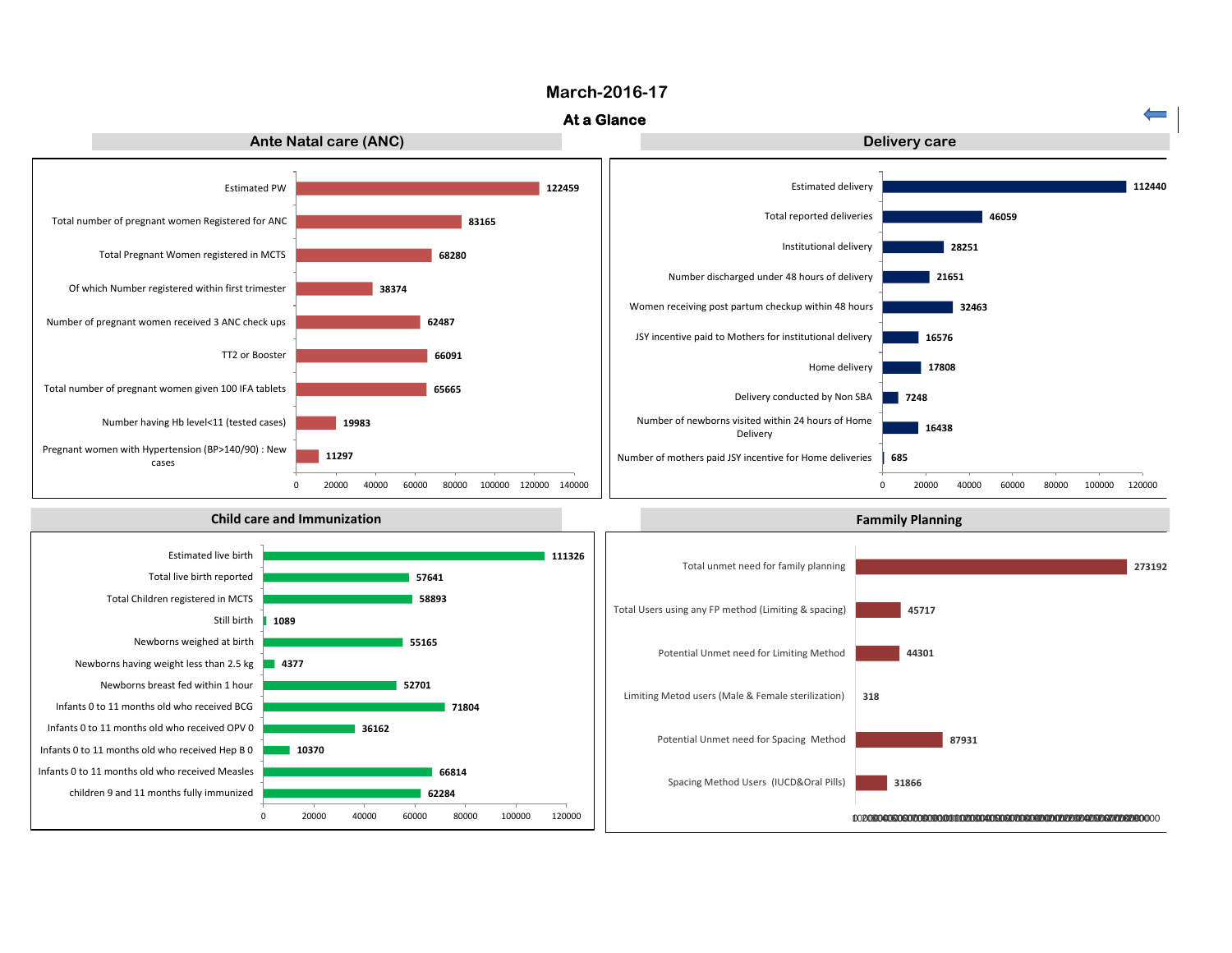#### **March-2016-17**

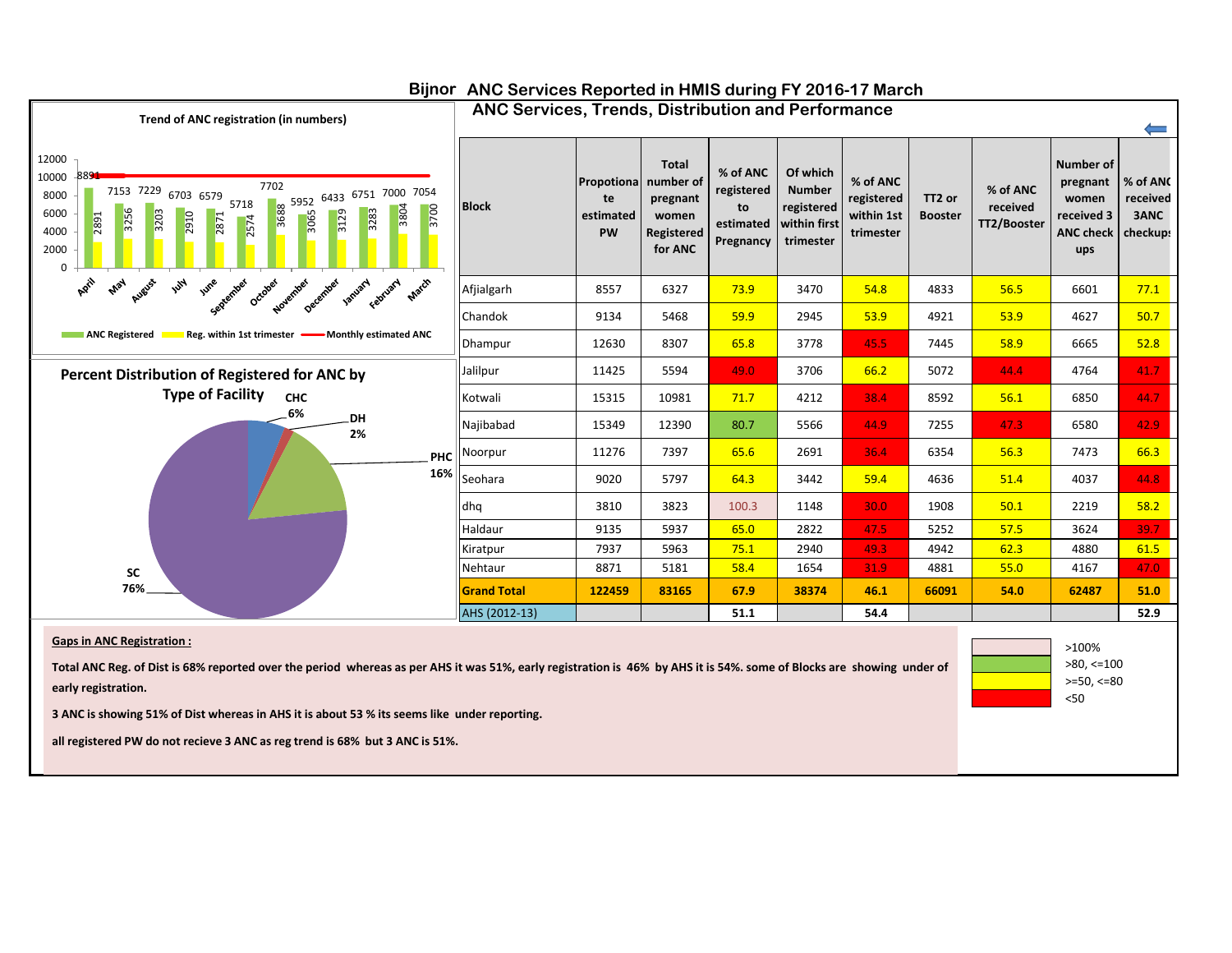

#### **Bijnor ANC Services Reported in HMIS during FY 2016-17 March**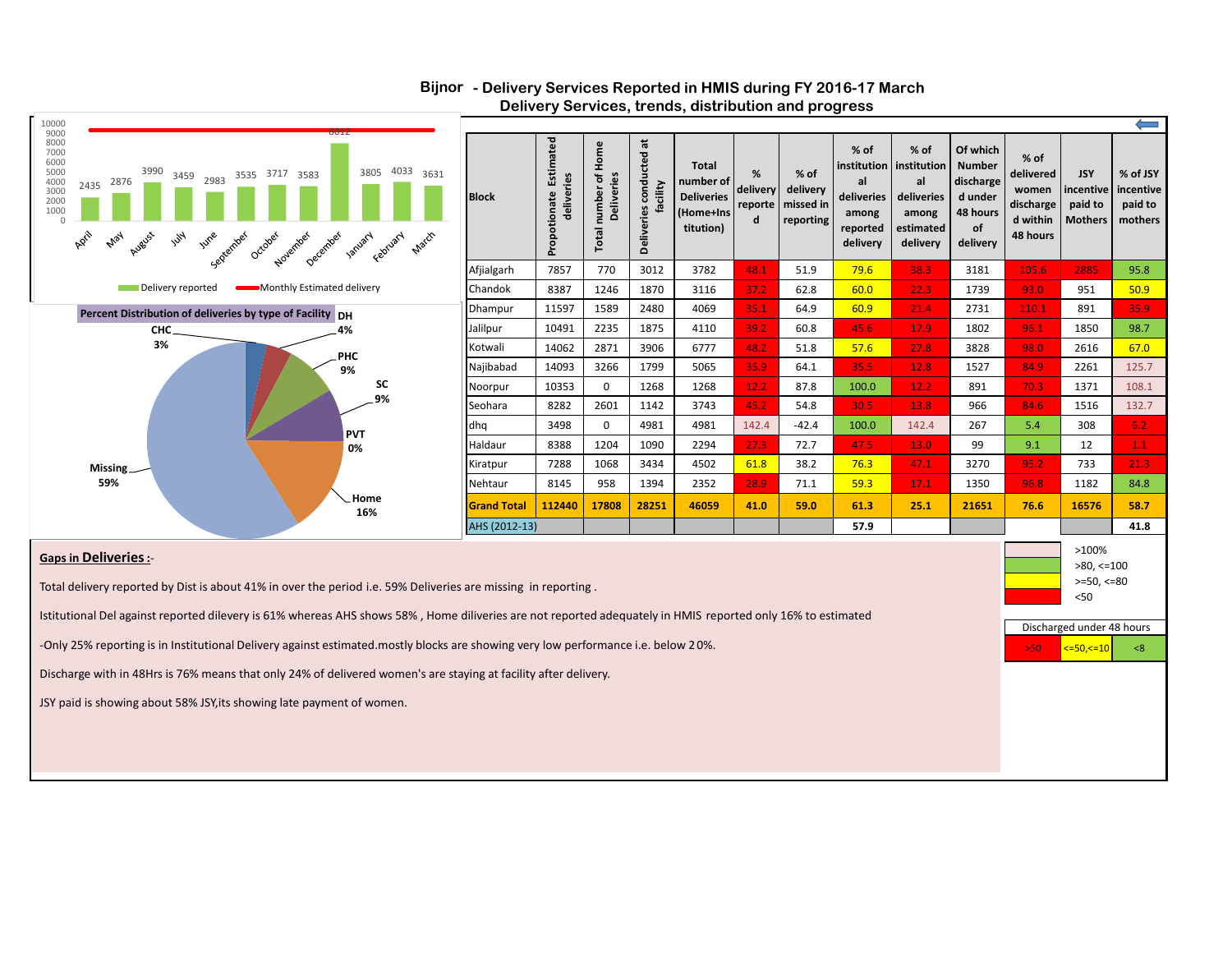

#### **- Delivery Services Reported in HMIS during FY 2016-17 March Bijnor Delivery Services, trends, distribution and progress**

#### **Gaps in Deliveries:**-

Total delivery reported by Dist is about 41% in over the period i.e. 59% Deliveries are missing in reporting .

Istitutional Del against reported dilevery is 61% whereas AHS shows 58% , Home diliveries are not reported adequately in HMIS reported only 16% to estimated

-Only 25% reporting is in Institutional Delivery against estimated.mostly blocks are showing very low performance i.e. below 20%.

Discharge with in 48Hrs is 76% means that only 24% of delivered women's are staying at facility after delivery.

JSY paid is showing about 58% JSY,its showing late payment of women.

>50 <=50,<=10 <8 Discharged under 48 hours  $>=50, <=80$ <50

 $>80$ ,  $<=100$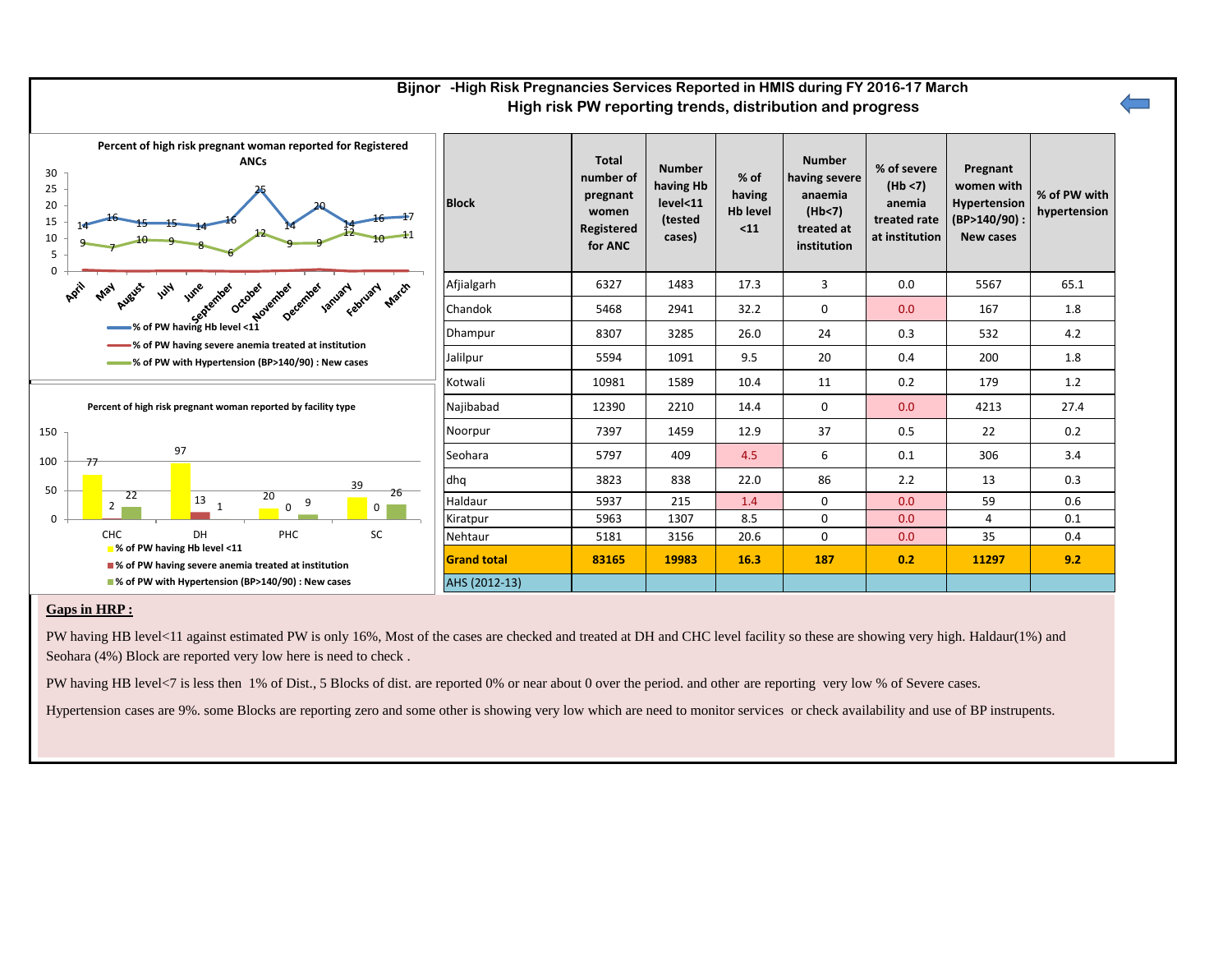

## **Bijnor -High Risk Pregnancies Services Reported in HMIS during FY 2016-17 March**

#### **Gaps in HRP :**

PW having HB level<11 against estimated PW is only 16%. Most of the cases are checked and treated at DH and CHC level facility so these are showing very high. Haldaur(1%) and Seohara (4%) Block are reported very low here is need to check .

PW having HB level<7 is less then 1% of Dist., 5 Blocks of dist. are reported 0% or near about 0 over the period. and other are reporting very low % of Severe cases.

Hypertension cases are 9%. some Blocks are reporting zero and some other is showing very low which are need to monitor services or check availability and use of BP instrupents.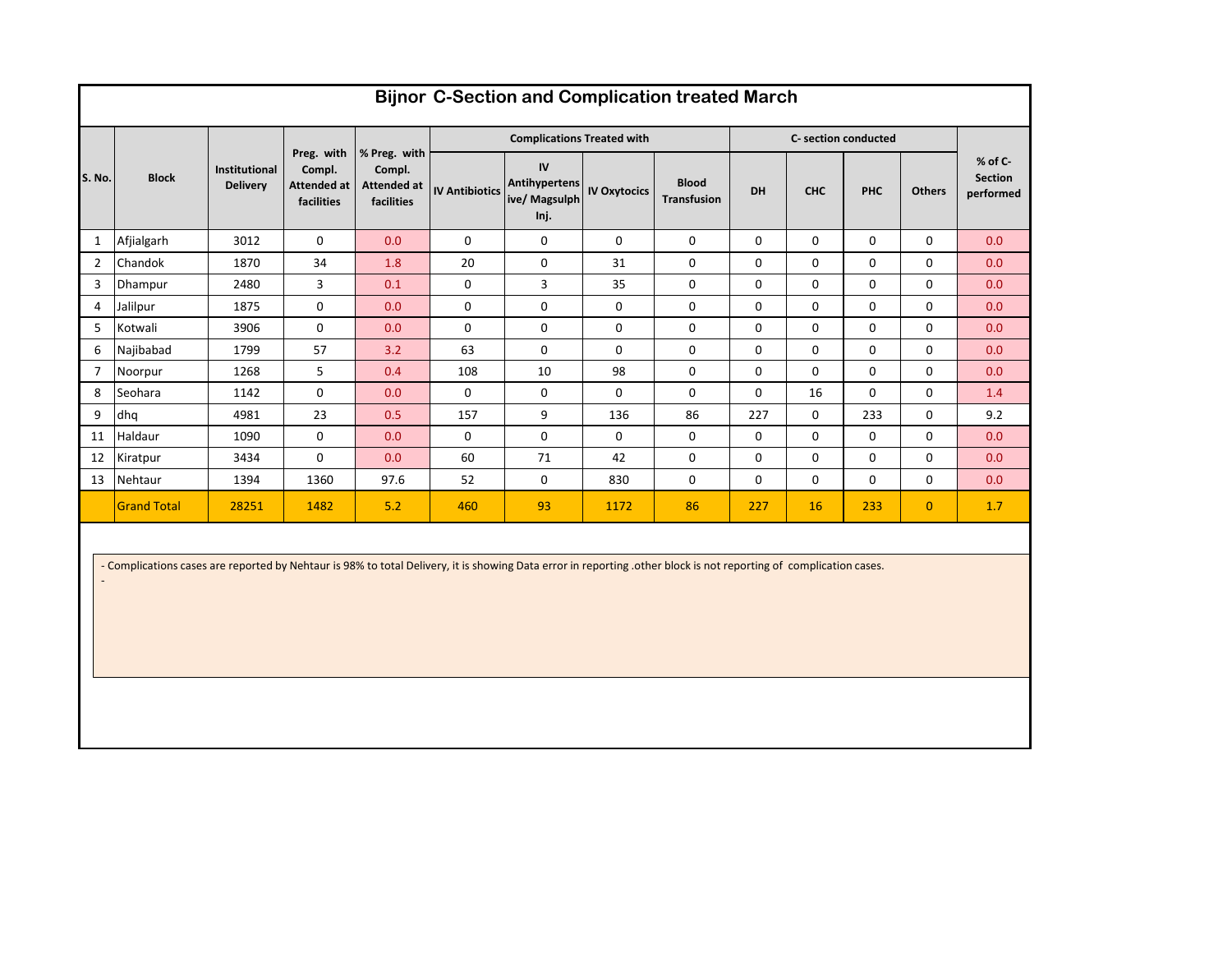|                | <b>Bijnor C-Section and Complication treated March</b> |                                  |                                                   |                                                            |                       |                                                     |                     |                                    |             |                      |            |               |                                          |  |  |
|----------------|--------------------------------------------------------|----------------------------------|---------------------------------------------------|------------------------------------------------------------|-----------------------|-----------------------------------------------------|---------------------|------------------------------------|-------------|----------------------|------------|---------------|------------------------------------------|--|--|
|                |                                                        |                                  |                                                   |                                                            |                       | <b>Complications Treated with</b>                   |                     |                                    |             | C- section conducted |            |               |                                          |  |  |
| S. No.         | <b>Block</b>                                           | Institutional<br><b>Delivery</b> | Preg. with<br>Compl.<br>Attended at<br>facilities | % Preg. with<br>Compl.<br><b>Attended at</b><br>facilities | <b>IV Antibiotics</b> | IV<br><b>Antihypertens</b><br>ive/ Magsulph<br>Inj. | <b>IV Oxytocics</b> | <b>Blood</b><br><b>Transfusion</b> | DH          | <b>CHC</b>           | <b>PHC</b> | <b>Others</b> | $%$ of C-<br><b>Section</b><br>performed |  |  |
| 1              | Afjialgarh                                             | 3012                             | $\Omega$                                          | 0.0                                                        | $\Omega$              | $\mathbf 0$                                         | $\mathbf 0$         | $\mathbf 0$                        | $\mathbf 0$ | 0                    | 0          | $\Omega$      | 0.0                                      |  |  |
| $\overline{2}$ | Chandok                                                | 1870                             | 34                                                | 1.8                                                        | 20                    | $\mathbf 0$                                         | 31                  | $\mathbf 0$                        | $\mathbf 0$ | 0                    | 0          | $\Omega$      | 0.0                                      |  |  |
| 3              | Dhampur                                                | 2480                             | 3                                                 | 0.1                                                        | $\mathbf 0$           | 3                                                   | 35                  | 0                                  | $\mathbf 0$ | $\Omega$             | 0          | $\Omega$      | 0.0                                      |  |  |
| 4              | Jalilpur                                               | 1875                             | $\mathbf{0}$                                      | 0.0                                                        | 0                     | $\mathbf 0$                                         | $\mathbf 0$         | $\mathbf 0$                        | $\Omega$    | 0                    | 0          | $\Omega$      | 0.0                                      |  |  |
| 5              | Kotwali                                                | 3906                             | $\mathbf{0}$                                      | 0.0                                                        | $\mathbf 0$           | $\mathbf 0$                                         | $\mathbf 0$         | $\mathbf 0$                        | $\mathbf 0$ | 0                    | 0          | $\Omega$      | 0.0                                      |  |  |
| 6              | Najibabad                                              | 1799                             | 57                                                | 3.2                                                        | 63                    | $\mathbf 0$                                         | $\mathbf 0$         | $\mathbf 0$                        | $\mathbf 0$ | 0                    | 0          | 0             | 0.0                                      |  |  |
| $\overline{7}$ | Noorpur                                                | 1268                             | 5                                                 | 0.4                                                        | 108                   | 10                                                  | 98                  | $\mathbf 0$                        | $\Omega$    | $\Omega$             | $\Omega$   | $\Omega$      | 0.0                                      |  |  |
| 8              | Seohara                                                | 1142                             | $\Omega$                                          | 0.0                                                        | $\Omega$              | $\mathbf 0$                                         | $\Omega$            | $\mathbf 0$                        | $\Omega$    | 16                   | 0          | $\Omega$      | 1.4                                      |  |  |
| 9              | dhq                                                    | 4981                             | 23                                                | 0.5                                                        | 157                   | 9                                                   | 136                 | 86                                 | 227         | $\Omega$             | 233        | $\Omega$      | 9.2                                      |  |  |
| 11             | Haldaur                                                | 1090                             | $\mathbf{0}$                                      | 0.0                                                        | 0                     | 0                                                   | 0                   | $\mathbf 0$                        | $\mathbf 0$ | 0                    | 0          | $\Omega$      | 0.0                                      |  |  |
| 12             | Kiratpur                                               | 3434                             | $\Omega$                                          | 0.0                                                        | 60                    | 71                                                  | 42                  | $\mathbf 0$                        | $\Omega$    | 0                    | $\Omega$   | $\Omega$      | 0.0                                      |  |  |
| 13             | Nehtaur                                                | 1394                             | 1360                                              | 97.6                                                       | 52                    | $\mathbf 0$                                         | 830                 | $\mathbf 0$                        | $\Omega$    | $\Omega$             | $\Omega$   | $\Omega$      | 0.0                                      |  |  |
|                | <b>Grand Total</b>                                     | 28251                            | 1482                                              | 5.2                                                        | 460                   | 93                                                  | 1172                | 86                                 | 227         | 16                   | 233        | $\mathbf{0}$  | 1.7                                      |  |  |

- Complications cases are reported by Nehtaur is 98% to total Delivery, it is showing Data error in reporting .other block is not reporting of complication cases.

-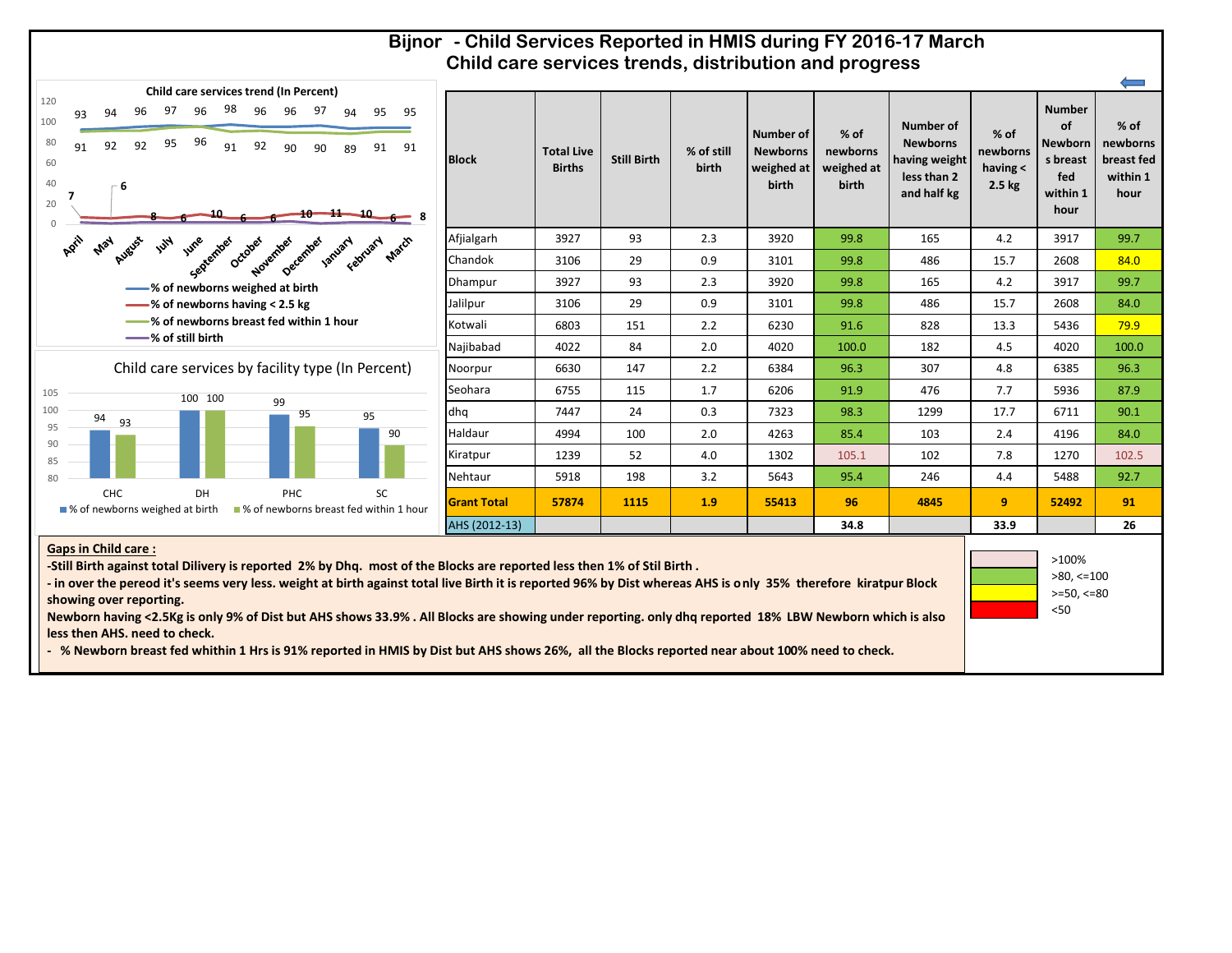#### **Bijnor - Child Services Reported in HMIS during FY 2016-17 March Child care services trends, distribution and progress**



**Gaps in Child care :**

| 95<br>95<br>91<br>91<br>$\leftarrow$ 8 | <b>Block</b>       | <b>Total Live</b><br><b>Births</b> | <b>Still Birth</b> | % of still<br>birth | Number of<br><b>Newborns</b><br>weighed at<br>birth | $%$ of<br>newborns<br>weighed at<br>birth | Number of<br><b>Newborns</b><br>having weight<br>less than 2<br>and half kg | $%$ of<br>newborns<br>having $\leq$<br>2.5 <sub>kg</sub> | <b>Number</b><br>of<br><b>Newborn</b><br>s breast<br>fed<br>within 1<br>hour | % of<br>newborns<br>breast fed<br>within 1<br>hour |
|----------------------------------------|--------------------|------------------------------------|--------------------|---------------------|-----------------------------------------------------|-------------------------------------------|-----------------------------------------------------------------------------|----------------------------------------------------------|------------------------------------------------------------------------------|----------------------------------------------------|
|                                        | Afjialgarh         | 3927                               | 93                 | 2.3                 | 3920                                                | 99.8                                      | 165                                                                         | 4.2                                                      | 3917                                                                         | 99.7                                               |
| ebruary platch                         | Chandok            | 3106                               | 29                 | 0.9                 | 3101                                                | 99.8                                      | 486                                                                         | 15.7                                                     | 2608                                                                         | 84.0                                               |
|                                        | Dhampur            | 3927                               | 93                 | 2.3                 | 3920                                                | 99.8                                      | 165                                                                         | 4.2                                                      | 3917                                                                         | 99.7                                               |
|                                        | Jalilpur           | 3106                               | 29                 | 0.9                 | 3101                                                | 99.8                                      | 486                                                                         | 15.7                                                     | 2608                                                                         | 84.0                                               |
|                                        | Kotwali            | 6803                               | 151                | 2.2                 | 6230                                                | 91.6                                      | 828                                                                         | 13.3                                                     | 5436                                                                         | 79.9                                               |
|                                        | Najibabad          | 4022                               | 84                 | 2.0                 | 4020                                                | 100.0                                     | 182                                                                         | 4.5                                                      | 4020                                                                         | 100.0                                              |
| Percent)                               | Noorpur            | 6630                               | 147                | 2.2                 | 6384                                                | 96.3                                      | 307                                                                         | 4.8                                                      | 6385                                                                         | 96.3                                               |
|                                        | Seohara            | 6755                               | 115                | 1.7                 | 6206                                                | 91.9                                      | 476                                                                         | 7.7                                                      | 5936                                                                         | 87.9                                               |
|                                        | dhq                | 7447                               | 24                 | 0.3                 | 7323                                                | 98.3                                      | 1299                                                                        | 17.7                                                     | 6711                                                                         | 90.1                                               |
| 90                                     | Haldaur            | 4994                               | 100                | 2.0                 | 4263                                                | 85.4                                      | 103                                                                         | 2.4                                                      | 4196                                                                         | 84.0                                               |
|                                        | Kiratpur           | 1239                               | 52                 | 4.0                 | 1302                                                | 105.1                                     | 102                                                                         | 7.8                                                      | 1270                                                                         | 102.5                                              |
|                                        | Nehtaur            | 5918                               | 198                | 3.2                 | 5643                                                | 95.4                                      | 246                                                                         | 4.4                                                      | 5488                                                                         | 92.7                                               |
| SC<br>ed within 1 hour                 | <b>Grant Total</b> | 57874                              | 1115               | 1.9                 | 55413                                               | 96                                        | 4845                                                                        | 9                                                        | 52492                                                                        | 91                                                 |
|                                        | AHS (2012-13)      |                                    |                    |                     |                                                     | 34.8                                      |                                                                             | 33.9                                                     |                                                                              | 26                                                 |

>80, <=100 >=50, <=80 <50

**-Still Birth against total Dilivery is reported 2% by Dhq. most of the Blocks are reported less then 1% of Stil Birth .**

**- in over the pereod it's seems very less. weight at birth against total live Birth it is reported 96% by Dist whereas AHS is only 35% therefore kiratpur Block showing over reporting.**

**Newborn having <2.5Kg is only 9% of Dist but AHS shows 33.9% . All Blocks are showing under reporting. only dhq reported 18% LBW Newborn which is also less then AHS. need to check.**

**- % Newborn breast fed whithin 1 Hrs is 91% reported in HMIS by Dist but AHS shows 26%, all the Blocks reported near about 100% need to check.**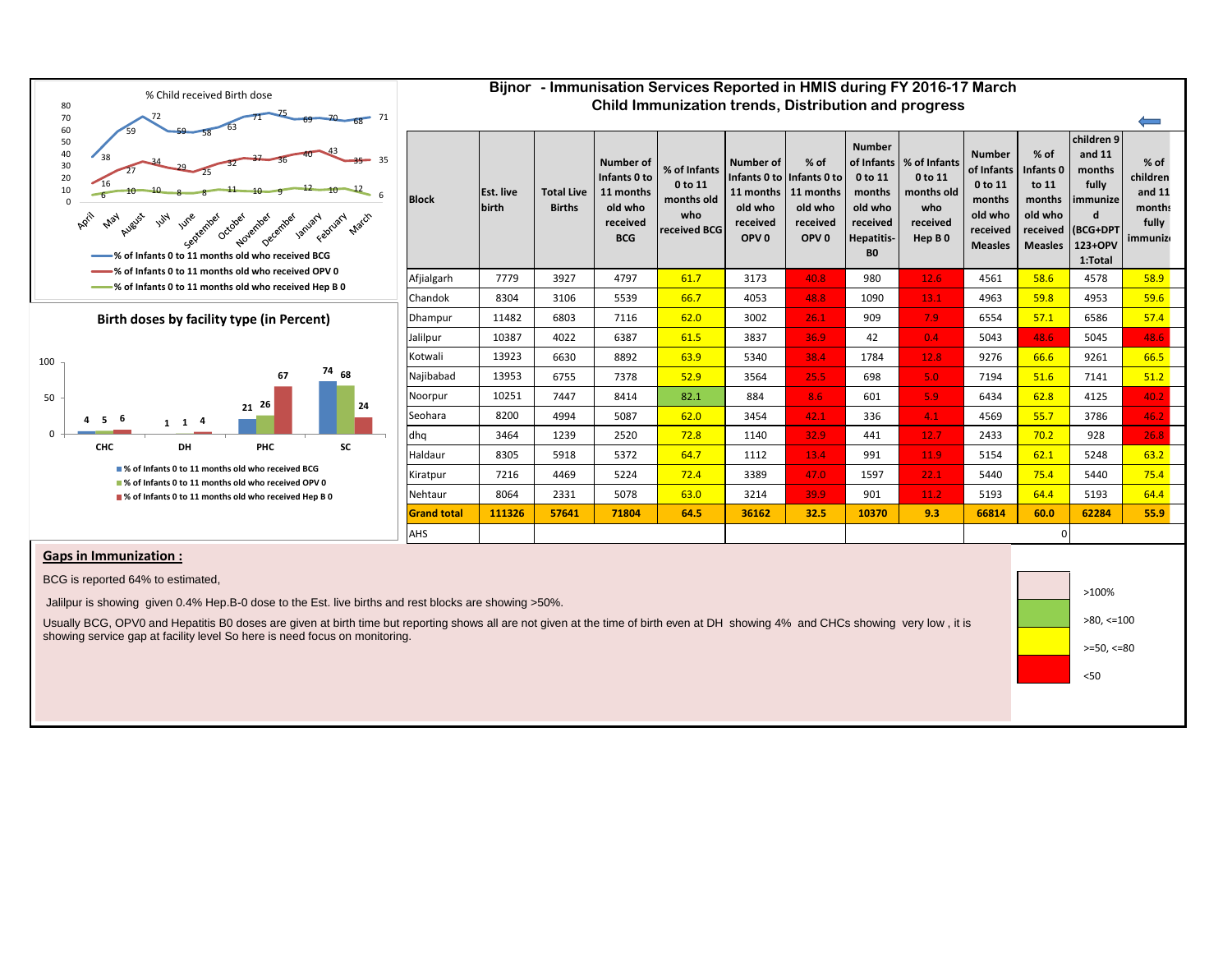

| Child Immunization trends, Distribution and progress |                           |                                    |                                                                                    |                                                              |                                                                                                        |                                                                |                                                                                                                |                                                                                |                                                                                           |                                                                                            |                                                                                            |                                                            |  |
|------------------------------------------------------|---------------------------|------------------------------------|------------------------------------------------------------------------------------|--------------------------------------------------------------|--------------------------------------------------------------------------------------------------------|----------------------------------------------------------------|----------------------------------------------------------------------------------------------------------------|--------------------------------------------------------------------------------|-------------------------------------------------------------------------------------------|--------------------------------------------------------------------------------------------|--------------------------------------------------------------------------------------------|------------------------------------------------------------|--|
| <b>Block</b>                                         | <b>Est. live</b><br>birth | <b>Total Live</b><br><b>Births</b> | <b>Number of</b><br>Infants 0 to<br>11 months<br>old who<br>received<br><b>BCG</b> | % of Infants<br>0 to 11<br>months old<br>who<br>received BCG | <b>Number of</b><br>Infants 0 to linfants 0 to<br>11 months<br>old who<br>received<br>OPV <sub>0</sub> | $%$ of<br>11 months<br>old who<br>received<br>OPV <sub>0</sub> | <b>Number</b><br>of Infants<br>0 to 11<br>months<br>old who<br>received<br><b>Hepatitis-</b><br>B <sub>0</sub> | % of Infants<br>0 to 11<br>months old<br>who<br>received<br>Hep B <sub>0</sub> | <b>Number</b><br>of Infants<br>0 to 11<br>months<br>old who<br>received<br><b>Measles</b> | $%$ of<br>Infants <sub>0</sub><br>to 11<br>months<br>old who<br>received<br><b>Measles</b> | children 9<br>and 11<br>months<br>fully<br>immunize<br>d<br>(BCG+DPT<br>123+OPV<br>1:Total | $%$ of<br>children<br>and 11<br>months<br>fully<br>immuniz |  |
| Afjialgarh                                           | 7779                      | 3927                               | 4797                                                                               | 61.7                                                         | 3173                                                                                                   | 40.8                                                           | 980                                                                                                            | 12.6                                                                           | 4561                                                                                      | 58.6                                                                                       | 4578                                                                                       | 58.9                                                       |  |
| Chandok                                              | 8304                      | 3106                               | 5539                                                                               | 66.7                                                         | 4053                                                                                                   | 48.8                                                           | 1090                                                                                                           | 13.1                                                                           | 4963                                                                                      | 59.8                                                                                       | 4953                                                                                       | 59.6                                                       |  |
| Dhampur                                              | 11482                     | 6803                               | 7116                                                                               | 62.0                                                         | 3002                                                                                                   | 26.1                                                           | 909                                                                                                            | 7.9                                                                            | 6554                                                                                      | 57.1                                                                                       | 6586                                                                                       | 57.4                                                       |  |
| Jalilpur                                             | 10387                     | 4022                               | 6387                                                                               | 61.5                                                         | 3837                                                                                                   | 36.9                                                           | 42                                                                                                             | 0.4                                                                            | 5043                                                                                      | 48.6                                                                                       | 5045                                                                                       | 48.6                                                       |  |
| Kotwali                                              | 13923                     | 6630                               | 8892                                                                               | 63.9                                                         | 5340                                                                                                   | 38.4                                                           | 1784                                                                                                           | 12.8                                                                           | 9276                                                                                      | 66.6                                                                                       | 9261                                                                                       | 66.5                                                       |  |
| Najibabad                                            | 13953                     | 6755                               | 7378                                                                               | 52.9                                                         | 3564                                                                                                   | 25.5                                                           | 698                                                                                                            | 5.0                                                                            | 7194                                                                                      | 51.6                                                                                       | 7141                                                                                       | 51.2                                                       |  |
| Noorpur                                              | 10251                     | 7447                               | 8414                                                                               | 82.1                                                         | 884                                                                                                    | 8.6                                                            | 601                                                                                                            | 5.9                                                                            | 6434                                                                                      | 62.8                                                                                       | 4125                                                                                       | 40.2                                                       |  |
| Seohara                                              | 8200                      | 4994                               | 5087                                                                               | 62.0                                                         | 3454                                                                                                   | 42.1                                                           | 336                                                                                                            | 4.1                                                                            | 4569                                                                                      | 55.7                                                                                       | 3786                                                                                       | 46.2                                                       |  |
| dhq                                                  | 3464                      | 1239                               | 2520                                                                               | 72.8                                                         | 1140                                                                                                   | 32.9                                                           | 441                                                                                                            | 12.7                                                                           | 2433                                                                                      | 70.2                                                                                       | 928                                                                                        | 26.8                                                       |  |
| Haldaur                                              | 8305                      | 5918                               | 5372                                                                               | 64.7                                                         | 1112                                                                                                   | 13.4                                                           | 991                                                                                                            | 11.9                                                                           | 5154                                                                                      | 62.1                                                                                       | 5248                                                                                       | 63.2                                                       |  |
| Kiratpur                                             | 7216                      | 4469                               | 5224                                                                               | 72.4                                                         | 3389                                                                                                   | 47.0                                                           | 1597                                                                                                           | 22.1                                                                           | 5440                                                                                      | 75.4                                                                                       | 5440                                                                                       | 75.4                                                       |  |
| Nehtaur                                              | 8064                      | 2331                               | 5078                                                                               | 63.0                                                         | 3214                                                                                                   | 39.9                                                           | 901                                                                                                            | 11.2                                                                           | 5193                                                                                      | 64.4                                                                                       | 5193                                                                                       | 64.4                                                       |  |
| <b>Grand total</b>                                   | 111326                    | 57641                              | 71804                                                                              | 64.5                                                         | 36162                                                                                                  | 32.5                                                           | 10370                                                                                                          | 9.3                                                                            | 66814                                                                                     | 60.0                                                                                       | 62284                                                                                      | 55.9                                                       |  |
| AHS                                                  |                           |                                    |                                                                                    |                                                              |                                                                                                        |                                                                |                                                                                                                |                                                                                | 0                                                                                         |                                                                                            |                                                                                            |                                                            |  |

**Bijnor - Immunisation Services Reported in HMIS during FY 2016-17 March**

#### **Gaps in Immunization :**

BCG is reported 64% to estimated,

Jalilpur is showing given 0.4% Hep.B-0 dose to the Est. live births and rest blocks are showing >50%.

Usually BCG, OPV0 and Hepatitis B0 doses are given at birth time but reporting shows all are not given at the time of birth even at DH showing 4% and CHCs showing very low , it is showing service gap at facility level So here is need focus on monitoring.

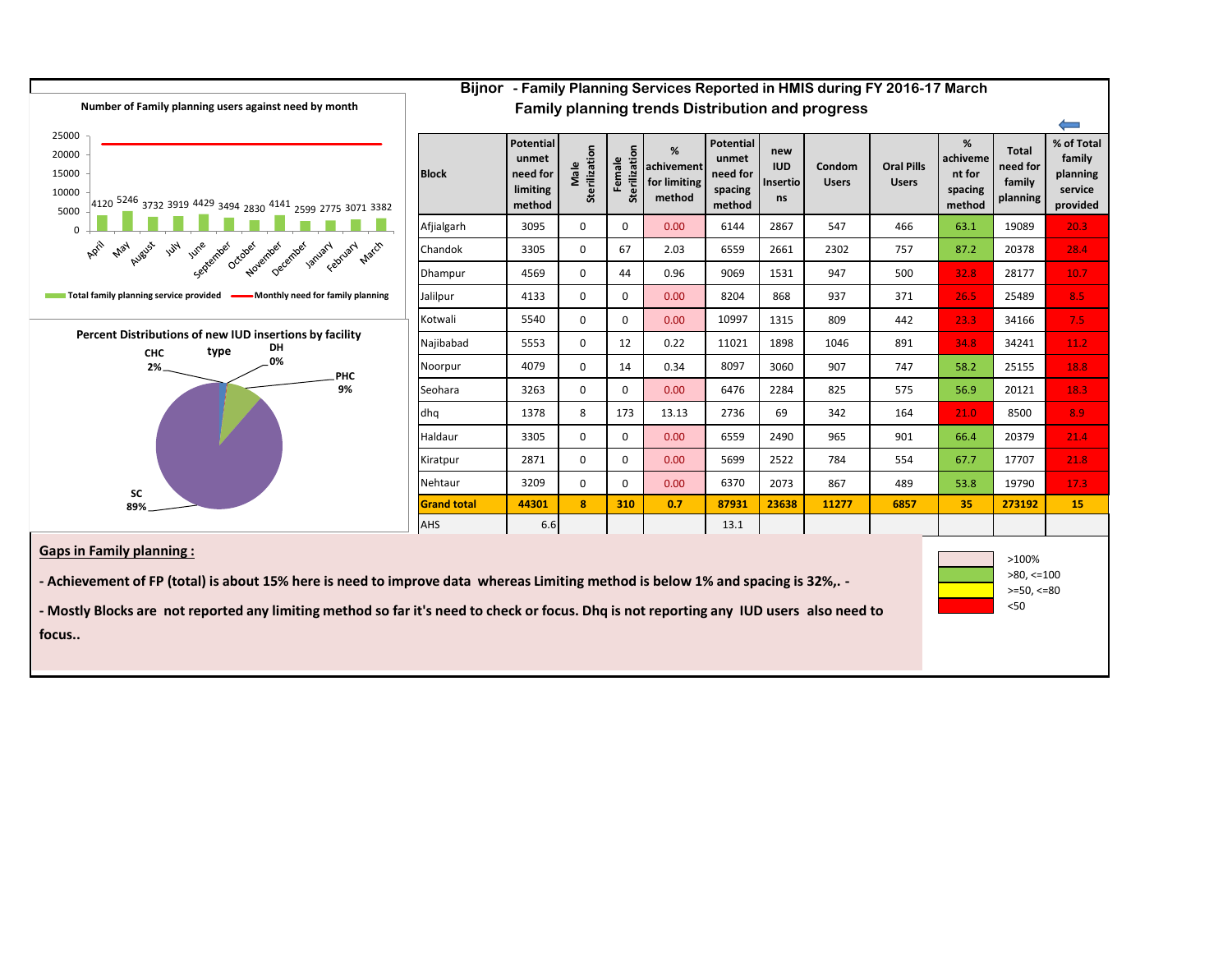

**- Mostly Blocks are not reported any limiting method so far it's need to check or focus. Dhq is not reporting any IUD users also need to** 

**focus..**

<50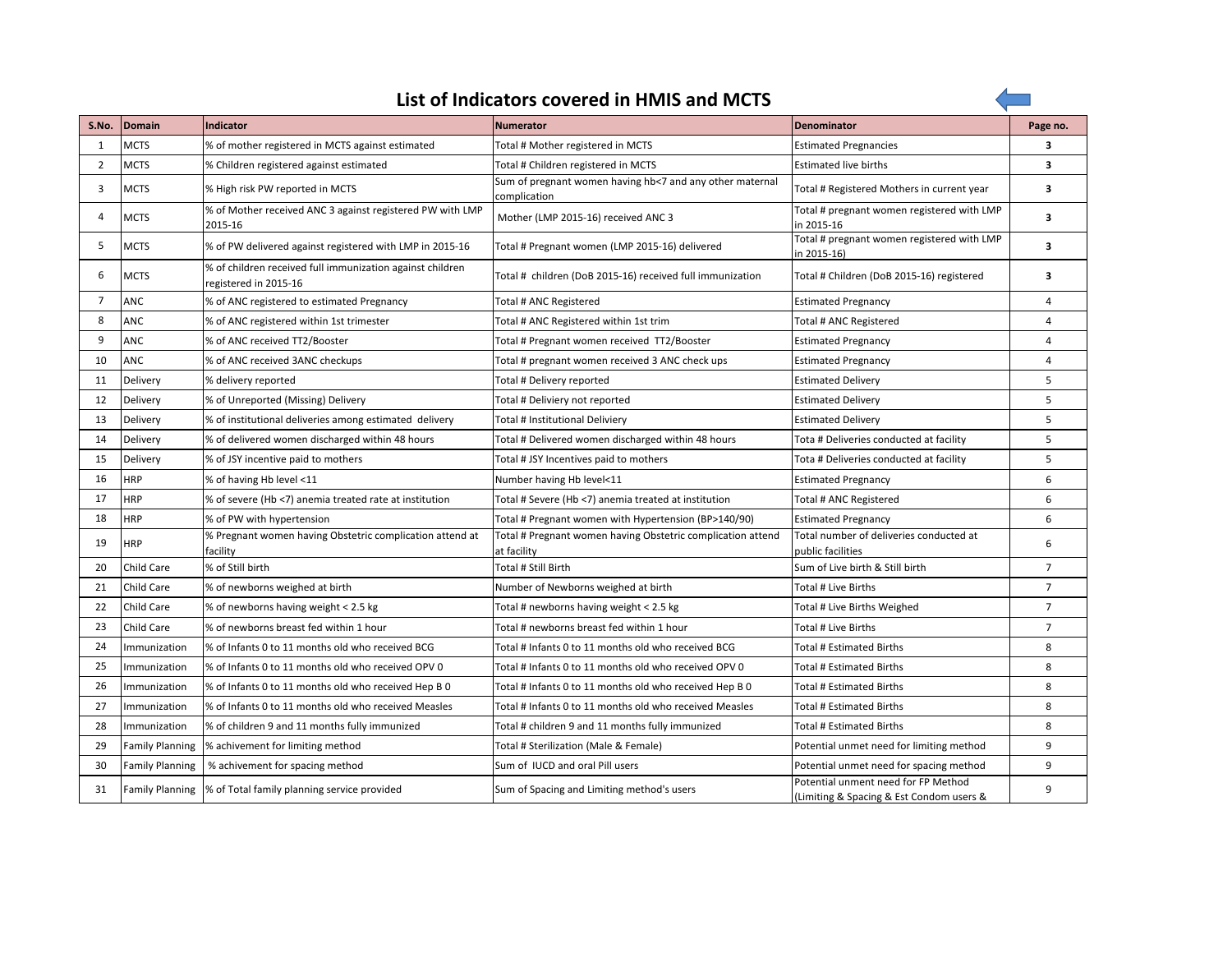|--|

 $\overline{\phantom{a}}$ 

| S.No.          | Domain                 | <b>Indicator</b>                                                                   | <b>Numerator</b>                                                           | Denominator                                                                     | Page no.       |
|----------------|------------------------|------------------------------------------------------------------------------------|----------------------------------------------------------------------------|---------------------------------------------------------------------------------|----------------|
| $\mathbf{1}$   | <b>MCTS</b>            | % of mother registered in MCTS against estimated                                   | Total # Mother registered in MCTS                                          | <b>Estimated Pregnancies</b>                                                    | 3              |
| 2              | <b>MCTS</b>            | % Children registered against estimated                                            | Total # Children registered in MCTS                                        | <b>Estimated live births</b>                                                    | 3              |
| 3              | <b>MCTS</b>            | % High risk PW reported in MCTS                                                    | Sum of pregnant women having hb<7 and any other maternal<br>complication   | Total # Registered Mothers in current year                                      | 3              |
| $\overline{A}$ | <b>MCTS</b>            | % of Mother received ANC 3 against registered PW with LMP<br>2015-16               | Mother (LMP 2015-16) received ANC 3                                        | Total # pregnant women registered with LMP<br>in 2015-16                        | 3              |
| 5              | <b>MCTS</b>            | % of PW delivered against registered with LMP in 2015-16                           | Total # Pregnant women (LMP 2015-16) delivered                             | Total # pregnant women registered with LMP<br>in 2015-16)                       | 3              |
| 6              | <b>MCTS</b>            | % of children received full immunization against children<br>registered in 2015-16 | Total # children (DoB 2015-16) received full immunization                  | Total # Children (DoB 2015-16) registered                                       | 3              |
| 7              | ANC                    | % of ANC registered to estimated Pregnancy                                         | Total # ANC Registered                                                     | <b>Estimated Pregnancy</b>                                                      | 4              |
| 8              | <b>ANC</b>             | % of ANC registered within 1st trimester                                           | Total # ANC Registered within 1st trim                                     | Total # ANC Registered                                                          | $\overline{4}$ |
| 9              | ANC                    | % of ANC received TT2/Booster                                                      | Total # Pregnant women received TT2/Booster                                | <b>Estimated Pregnancy</b>                                                      | 4              |
| 10             | ANC                    | % of ANC received 3ANC checkups                                                    | Total # pregnant women received 3 ANC check ups                            | <b>Estimated Pregnancy</b>                                                      | 4              |
| 11             | Delivery               | % delivery reported                                                                | Total # Delivery reported                                                  | <b>Estimated Delivery</b>                                                       | 5              |
| 12             | Delivery               | % of Unreported (Missing) Delivery                                                 | Total # Deliviery not reported                                             | <b>Estimated Delivery</b>                                                       | 5              |
| 13             | Delivery               | % of institutional deliveries among estimated delivery                             | Total # Institutional Deliviery                                            | <b>Estimated Delivery</b>                                                       | 5              |
| 14             | Delivery               | % of delivered women discharged within 48 hours                                    | Total # Delivered women discharged within 48 hours                         | Tota # Deliveries conducted at facility                                         | 5              |
| 15             | Delivery               | % of JSY incentive paid to mothers                                                 | Total # JSY Incentives paid to mothers                                     | Tota # Deliveries conducted at facility                                         | 5              |
| 16             | <b>HRP</b>             | % of having Hb level <11                                                           | Number having Hb level<11                                                  | <b>Estimated Pregnancy</b>                                                      | 6              |
| 17             | <b>HRP</b>             | % of severe (Hb <7) anemia treated rate at institution                             | Total # Severe (Hb <7) anemia treated at institution                       | Total # ANC Registered                                                          | 6              |
| 18             | <b>HRP</b>             | % of PW with hypertension                                                          | Total # Pregnant women with Hypertension (BP>140/90)                       | <b>Estimated Pregnancy</b>                                                      | 6              |
| 19             | <b>HRP</b>             | % Pregnant women having Obstetric complication attend at<br>facility               | Total # Pregnant women having Obstetric complication attend<br>at facility | Total number of deliveries conducted at<br>public facilities                    | 6              |
| 20             | Child Care             | % of Still birth                                                                   | Total # Still Birth                                                        | Sum of Live birth & Still birth                                                 | $\overline{7}$ |
| 21             | Child Care             | % of newborns weighed at birth                                                     | Number of Newborns weighed at birth                                        | Total # Live Births                                                             | $\overline{7}$ |
| 22             | <b>Child Care</b>      | % of newborns having weight < 2.5 kg                                               | Total # newborns having weight < 2.5 kg                                    | Total # Live Births Weighed                                                     | $\overline{7}$ |
| 23             | Child Care             | % of newborns breast fed within 1 hour                                             | Total # newborns breast fed within 1 hour                                  | Total # Live Births                                                             | $\overline{7}$ |
| 24             | Immunization           | % of Infants 0 to 11 months old who received BCG                                   | Total # Infants 0 to 11 months old who received BCG                        | Total # Estimated Births                                                        | 8              |
| 25             | Immunization           | % of Infants 0 to 11 months old who received OPV 0                                 | Total # Infants 0 to 11 months old who received OPV 0                      | Total # Estimated Births                                                        | 8              |
| 26             | Immunization           | % of Infants 0 to 11 months old who received Hep B 0                               | Total # Infants 0 to 11 months old who received Hep B 0                    | Total # Estimated Births                                                        | 8              |
| 27             | Immunization           | % of Infants 0 to 11 months old who received Measles                               | Total # Infants 0 to 11 months old who received Measles                    | Total # Estimated Births                                                        | 8              |
| 28             | Immunization           | % of children 9 and 11 months fully immunized                                      | Total # children 9 and 11 months fully immunized                           | Total # Estimated Births                                                        | 8              |
| 29             | <b>Family Planning</b> | % achivement for limiting method                                                   | Total # Sterilization (Male & Female)                                      | Potential unmet need for limiting method                                        | 9              |
| 30             | <b>Family Planning</b> | % achivement for spacing method                                                    | Sum of IUCD and oral Pill users                                            | Potential unmet need for spacing method                                         | 9              |
| 31             |                        | Family Planning % of Total family planning service provided                        | Sum of Spacing and Limiting method's users                                 | Potential unment need for FP Method<br>(Limiting & Spacing & Est Condom users & | 9              |